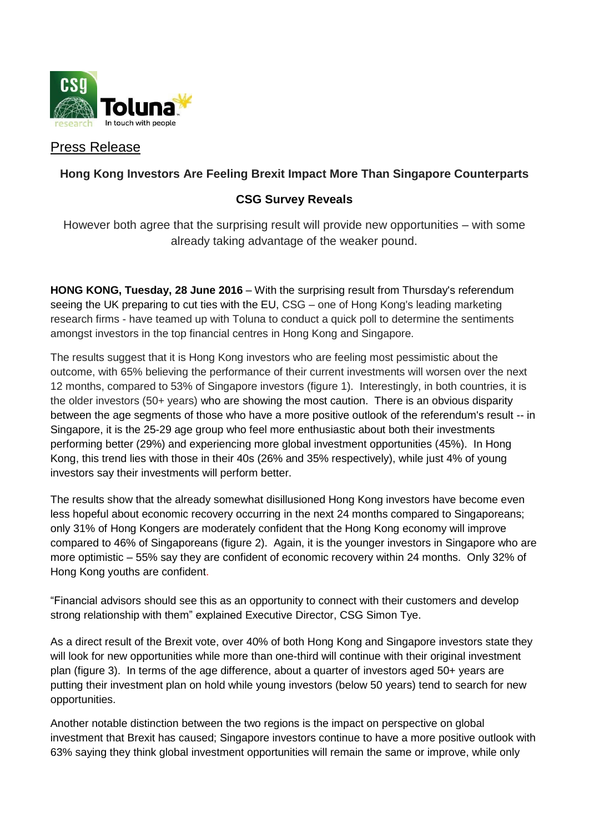

# Press Release

# **Hong Kong Investors Are Feeling Brexit Impact More Than Singapore Counterparts**

## **CSG Survey Reveals**

However both agree that the surprising result will provide new opportunities – with some already taking advantage of the weaker pound.

**HONG KONG, Tuesday, 28 June 2016** – With the surprising result from Thursday's referendum seeing the UK preparing to cut ties with the EU, CSG – one of Hong Kong's leading marketing research firms - have teamed up with Toluna to conduct a quick poll to determine the sentiments amongst investors in the top financial centres in Hong Kong and Singapore.

The results suggest that it is Hong Kong investors who are feeling most pessimistic about the outcome, with 65% believing the performance of their current investments will worsen over the next 12 months, compared to 53% of Singapore investors (figure 1). Interestingly, in both countries, it is the older investors (50+ years) who are showing the most caution. There is an obvious disparity between the age segments of those who have a more positive outlook of the referendum's result -- in Singapore, it is the 25-29 age group who feel more enthusiastic about both their investments performing better (29%) and experiencing more global investment opportunities (45%). In Hong Kong, this trend lies with those in their 40s (26% and 35% respectively), while just 4% of young investors say their investments will perform better.

The results show that the already somewhat disillusioned Hong Kong investors have become even less hopeful about economic recovery occurring in the next 24 months compared to Singaporeans; only 31% of Hong Kongers are moderately confident that the Hong Kong economy will improve compared to 46% of Singaporeans (figure 2). Again, it is the younger investors in Singapore who are more optimistic – 55% say they are confident of economic recovery within 24 months. Only 32% of Hong Kong youths are confident.

"Financial advisors should see this as an opportunity to connect with their customers and develop strong relationship with them" explained Executive Director, CSG Simon Tye.

As a direct result of the Brexit vote, over 40% of both Hong Kong and Singapore investors state they will look for new opportunities while more than one-third will continue with their original investment plan (figure 3). In terms of the age difference, about a quarter of investors aged 50+ years are putting their investment plan on hold while young investors (below 50 years) tend to search for new opportunities.

Another notable distinction between the two regions is the impact on perspective on global investment that Brexit has caused; Singapore investors continue to have a more positive outlook with 63% saying they think global investment opportunities will remain the same or improve, while only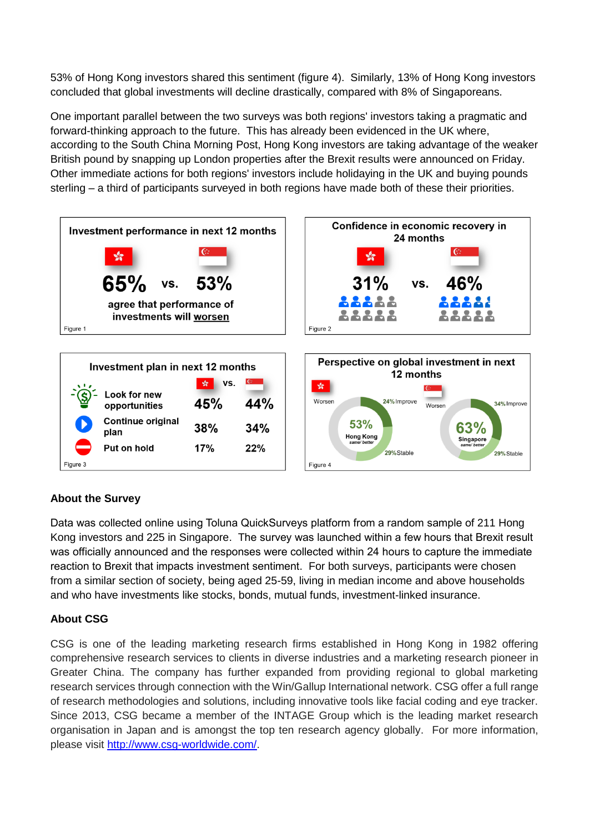53% of Hong Kong investors shared this sentiment (figure 4). Similarly, 13% of Hong Kong investors concluded that global investments will decline drastically, compared with 8% of Singaporeans.

One important parallel between the two surveys was both regions' investors taking a pragmatic and forward-thinking approach to the future. This has already been evidenced in the UK where, according to the South China Morning Post, Hong Kong investors are taking advantage of the weaker British pound by snapping up London properties after the Brexit results were announced on Friday. Other immediate actions for both regions' investors include holidaying in the UK and buying pounds sterling – a third of participants surveyed in both regions have made both of these their priorities.



## **About the Survey**

Data was collected online using Toluna QuickSurveys platform from a random sample of 211 Hong Kong investors and 225 in Singapore. The survey was launched within a few hours that Brexit result was officially announced and the responses were collected within 24 hours to capture the immediate reaction to Brexit that impacts investment sentiment. For both surveys, participants were chosen from a similar section of society, being aged 25-59, living in median income and above households and who have investments like stocks, bonds, mutual funds, investment-linked insurance.

#### **About CSG**

CSG is one of the leading marketing research firms established in Hong Kong in 1982 offering comprehensive research services to clients in diverse industries and a marketing research pioneer in Greater China. The company has further expanded from providing regional to global marketing research services through connection with the Win/Gallup International network. CSG offer a full range of research methodologies and solutions, including innovative tools like facial coding and eye tracker. Since 2013, CSG became a member of the INTAGE Group which is the leading market research organisation in Japan and is amongst the top ten research agency globally. For more information, please visit [http://www.csg-worldwide.com/.](http://www.csg-worldwide.com/)